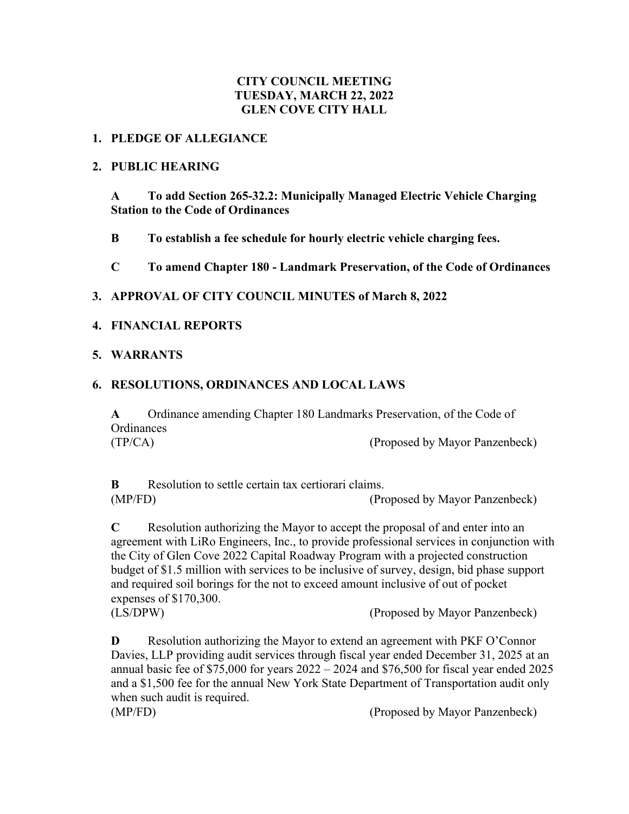## **CITY COUNCIL MEETING TUESDAY, MARCH 22, 2022 GLEN COVE CITY HALL**

#### **1. PLEDGE OF ALLEGIANCE**

#### **2. PUBLIC HEARING**

**A To add Section 265-32.2: Municipally Managed Electric Vehicle Charging Station to the Code of Ordinances**

**B To establish a fee schedule for hourly electric vehicle charging fees.**

**C To amend Chapter 180 - Landmark Preservation, of the Code of Ordinances**

#### **3. APPROVAL OF CITY COUNCIL MINUTES of March 8, 2022**

#### **4. FINANCIAL REPORTS**

#### **5. WARRANTS**

## **6. RESOLUTIONS, ORDINANCES AND LOCAL LAWS**

**A** Ordinance amending Chapter 180 Landmarks Preservation, of the Code of **Ordinances** (TP/CA) (Proposed by Mayor Panzenbeck)

**B** Resolution to settle certain tax certiorari claims. (MP/FD) (Proposed by Mayor Panzenbeck)

**C** Resolution authorizing the Mayor to accept the proposal of and enter into an agreement with LiRo Engineers, Inc., to provide professional services in conjunction with the City of Glen Cove 2022 Capital Roadway Program with a projected construction budget of \$1.5 million with services to be inclusive of survey, design, bid phase support and required soil borings for the not to exceed amount inclusive of out of pocket expenses of \$170,300.

(LS/DPW) (Proposed by Mayor Panzenbeck)

**D** Resolution authorizing the Mayor to extend an agreement with PKF O'Connor Davies, LLP providing audit services through fiscal year ended December 31, 2025 at an annual basic fee of  $$75,000$  for years  $2022 - 2024$  and  $$76,500$  for fiscal year ended  $2025$ and a \$1,500 fee for the annual New York State Department of Transportation audit only when such audit is required.

(MP/FD) (Proposed by Mayor Panzenbeck)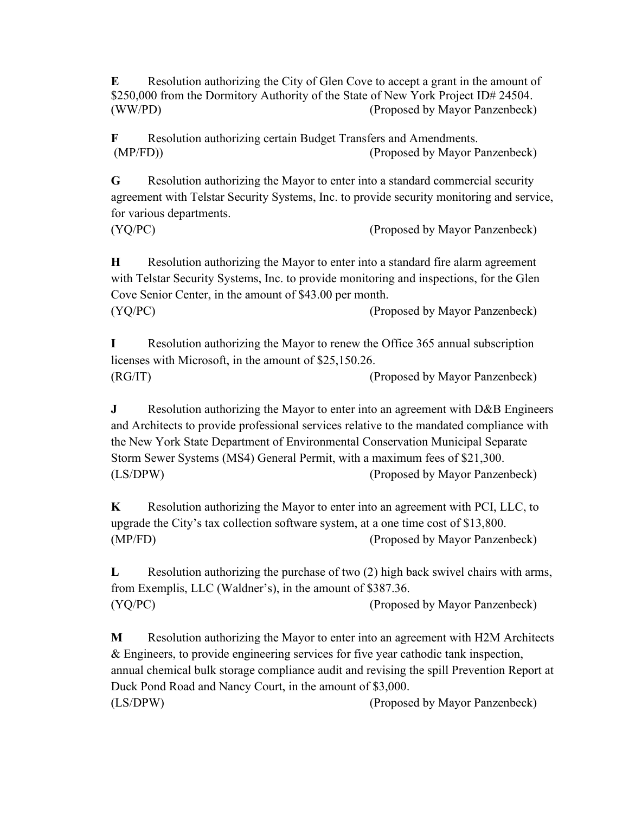**E** Resolution authorizing the City of Glen Cove to accept a grant in the amount of \$250,000 from the Dormitory Authority of the State of New York Project ID# 24504. (WW/PD) (Proposed by Mayor Panzenbeck)

**F** Resolution authorizing certain Budget Transfers and Amendments. (MP/FD)) (Proposed by Mayor Panzenbeck)

**G** Resolution authorizing the Mayor to enter into a standard commercial security agreement with Telstar Security Systems, Inc. to provide security monitoring and service, for various departments.

(YQ/PC) (Proposed by Mayor Panzenbeck)

**H** Resolution authorizing the Mayor to enter into a standard fire alarm agreement with Telstar Security Systems, Inc. to provide monitoring and inspections, for the Glen Cove Senior Center, in the amount of \$43.00 per month. (YQ/PC) (Proposed by Mayor Panzenbeck)

**I** Resolution authorizing the Mayor to renew the Office 365 annual subscription licenses with Microsoft, in the amount of \$25,150.26. (RG/IT) (Proposed by Mayor Panzenbeck)

**J** Resolution authorizing the Mayor to enter into an agreement with D&B Engineers and Architects to provide professional services relative to the mandated compliance with the New York State Department of Environmental Conservation Municipal Separate Storm Sewer Systems (MS4) General Permit, with a maximum fees of \$21,300. (LS/DPW) (Proposed by Mayor Panzenbeck)

**K** Resolution authorizing the Mayor to enter into an agreement with PCI, LLC, to upgrade the City's tax collection software system, at a one time cost of \$13,800. (MP/FD) (Proposed by Mayor Panzenbeck)

**L** Resolution authorizing the purchase of two (2) high back swivel chairs with arms, from Exemplis, LLC (Waldner's), in the amount of \$387.36. (YQ/PC) (Proposed by Mayor Panzenbeck)

**M** Resolution authorizing the Mayor to enter into an agreement with H2M Architects & Engineers, to provide engineering services for five year cathodic tank inspection, annual chemical bulk storage compliance audit and revising the spill Prevention Report at Duck Pond Road and Nancy Court, in the amount of \$3,000. (LS/DPW) (Proposed by Mayor Panzenbeck)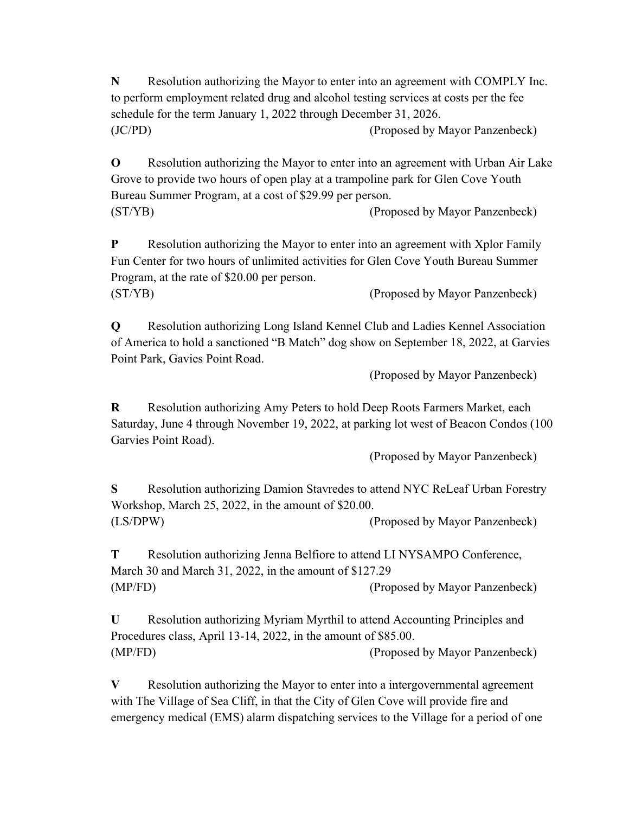**N** Resolution authorizing the Mayor to enter into an agreement with COMPLY Inc. to perform employment related drug and alcohol testing services at costs per the fee schedule for the term January 1, 2022 through December 31, 2026. (JC/PD) (Proposed by Mayor Panzenbeck)

**O** Resolution authorizing the Mayor to enter into an agreement with Urban Air Lake Grove to provide two hours of open play at a trampoline park for Glen Cove Youth Bureau Summer Program, at a cost of \$29.99 per person. (ST/YB) (Proposed by Mayor Panzenbeck)

**P** Resolution authorizing the Mayor to enter into an agreement with Xplor Family Fun Center for two hours of unlimited activities for Glen Cove Youth Bureau Summer Program, at the rate of \$20.00 per person. (ST/YB) (Proposed by Mayor Panzenbeck)

**Q** Resolution authorizing Long Island Kennel Club and Ladies Kennel Association of America to hold a sanctioned "B Match" dog show on September 18, 2022, at Garvies Point Park, Gavies Point Road.

(Proposed by Mayor Panzenbeck)

**R** Resolution authorizing Amy Peters to hold Deep Roots Farmers Market, each Saturday, June 4 through November 19, 2022, at parking lot west of Beacon Condos (100 Garvies Point Road).

(Proposed by Mayor Panzenbeck)

**S** Resolution authorizing Damion Stavredes to attend NYC ReLeaf Urban Forestry Workshop, March 25, 2022, in the amount of \$20.00. (LS/DPW) (Proposed by Mayor Panzenbeck)

**T** Resolution authorizing Jenna Belfiore to attend LI NYSAMPO Conference, March 30 and March 31, 2022, in the amount of \$127.29 (MP/FD) (Proposed by Mayor Panzenbeck)

**U** Resolution authorizing Myriam Myrthil to attend Accounting Principles and Procedures class, April 13-14, 2022, in the amount of \$85.00. (MP/FD) (Proposed by Mayor Panzenbeck)

**V** Resolution authorizing the Mayor to enter into a intergovernmental agreement with The Village of Sea Cliff, in that the City of Glen Cove will provide fire and emergency medical (EMS) alarm dispatching services to the Village for a period of one